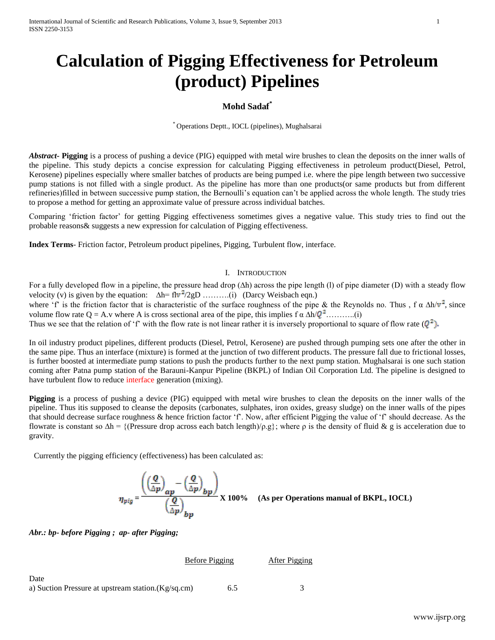# **Calculation of Pigging Effectiveness for Petroleum (product) Pipelines**

# **Mohd Sadaf\***

\* Operations Deptt., IOCL (pipelines), Mughalsarai

*Abstract***- Pigging** is a process of pushing a device (PIG) equipped with metal wire brushes to clean the deposits on the inner walls of the pipeline. This study depicts a concise expression for calculating Pigging effectiveness in petroleum product(Diesel, Petrol, Kerosene) pipelines especially where smaller batches of products are being pumped i.e. where the pipe length between two successive pump stations is not filled with a single product. As the pipeline has more than one products(or same products but from different refineries)filled in between successive pump station, the Bernoulli's equation can't be applied across the whole length. The study tries to propose a method for getting an approximate value of pressure across individual batches.

Comparing 'friction factor' for getting Pigging effectiveness sometimes gives a negative value. This study tries to find out the probable reasons& suggests a new expression for calculation of Pigging effectiveness.

**Index Terms**- Friction factor, Petroleum product pipelines, Pigging, Turbulent flow, interface.

#### I. INTRODUCTION

For a fully developed flow in a pipeline, the pressure head drop (∆h) across the pipe length (l) of pipe diameter (D) with a steady flow velocity (v) is given by the equation:  $\Delta h = flv^2/2gD$  ……….(i) (Darcy Weisbach eqn.) where 'f' is the friction factor that is characteristic of the surface roughness of the pipe & the Reynolds no. Thus , f  $\alpha \Delta h/v^2$ , since volume flow rate Q = A.v where A is cross sectional area of the pipe, this implies  $f \alpha \Delta h/Q^2$ ..........(i) Thus we see that the relation of 'f' with the flow rate is not linear rather it is inversely proportional to square of flow rate  $(Q^2)$ .

In oil industry product pipelines, different products (Diesel, Petrol, Kerosene) are pushed through pumping sets one after the other in the same pipe. Thus an interface (mixture) is formed at the junction of two different products. The pressure fall due to frictional losses, is further boosted at intermediate pump stations to push the products further to the next pump station. Mughalsarai is one such station coming after Patna pump station of the Barauni-Kanpur Pipeline (BKPL) of Indian Oil Corporation Ltd. The pipeline is designed to have turbulent flow to reduce interface generation (mixing).

**Pigging** is a process of pushing a device (PIG) equipped with metal wire brushes to clean the deposits on the inner walls of the pipeline. Thus itis supposed to cleanse the deposits (carbonates, sulphates, iron oxides, greasy sludge) on the inner walls of the pipes that should decrease surface roughness & hence friction factor 'f'. Now, after efficient Pigging the value of 'f' should decrease. As the flowrate is constant so  $\Delta h = \{$  (Pressure drop across each batch length)/ $\rho, g$ }; where  $\rho$  is the density of fluid & g is acceleration due to gravity.

Currently the pigging efficiency (effectiveness) has been calculated as:

$$
\eta_{\text{pig}} = \frac{\left( \left( \frac{Q}{\Delta p} \right)_{\alpha p} - \left( \frac{Q}{\Delta p} \right)_{\beta p} \right)}{\left( \frac{Q}{\Delta p} \right)_{\beta p}} \text{ X } 100\% \quad \text{(As per Operations manual of BKPL, IoCL)}
$$

*Abr.: bp- before Pigging ; ap- after Pigging;* 

### Before Pigging After Pigging

Date a) Suction Pressure at upstream station.(Kg/sq.cm) 6.5 3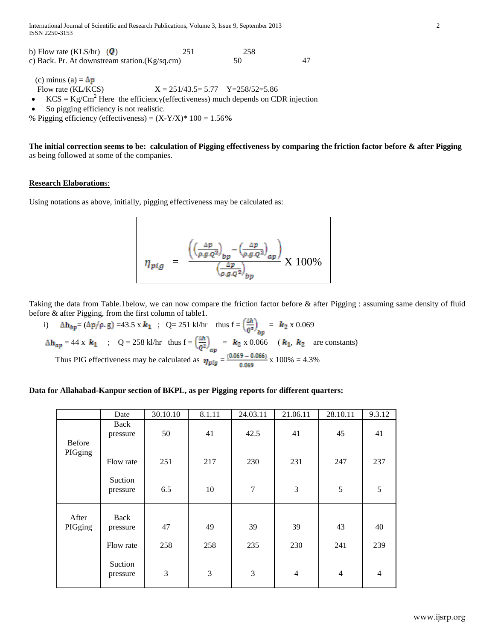| b) Flow rate (KLS/hr) $(Q)$                    | 251 | 258 |  |
|------------------------------------------------|-----|-----|--|
| c) Back. Pr. At downstream station. (Kg/sq.cm) |     | 50  |  |

(c) minus (a) =  $\Delta p$ 

Flow rate (KL/KCS)  $X = 251/43.5 = 5.77$   $Y = 258/52 = 5.86$ 

KCS =  $\text{Kg/cm}^2$  Here the efficiency(effectiveness) much depends on CDR injection

So pigging efficiency is not realistic.

% Pigging efficiency (effectiveness) = (X-Y/X)\* 100 = 1.56**%**

**The initial correction seems to be: calculation of Pigging effectiveness by comparing the friction factor before & after Pigging** as being followed at some of the companies.

# **Research Elaboration**s:

Using notations as above, initially, pigging effectiveness may be calculated as:

$$
\eta_{pig} = \frac{\left( \left( \frac{\Delta p}{\rho g_{\cdot} Q^2} \right)_{bp} - \left( \frac{\Delta p}{\rho g_{\cdot} Q^2} \right)_{ap}}{\left( \frac{\Delta p}{\rho g_{\cdot} Q^2} \right)_{bp}} \right) \times 100\%
$$

Taking the data from Table.1below, we can now compare the friction factor before & after Pigging : assuming same density of fluid before & after Pigging, from the first column of table1.

i)  $\Delta \mathbf{h}_{hp} = (\Delta p / \rho, g) = 43.5 \times k_1$ ; Q= 251 kl/hr thus  $f = \frac{m}{2}$  =  $k_2 \times 0.069$  $= 44 \times k_1$  ; Q = 258 kl/hr thus  $f = \left(\frac{m}{\epsilon_1}\right)$  =  $k_2 \times 0.066$  ( $k_1, k_2$  are constants) Thus PIG effectiveness may be calculated as  $\eta_{\text{min}} = \frac{(0.0099 - 0.0006)}{0.0000} \times 100\% = 4.3\%$ 

# **Data for Allahabad-Kanpur section of BKPL, as per Pigging reports for different quarters:**

|                  | Date                | 30.10.10 | 8.1.11 | 24.03.11       | 21.06.11       | 28.10.11       | 9.3.12         |
|------------------|---------------------|----------|--------|----------------|----------------|----------------|----------------|
| <b>Before</b>    | Back<br>pressure    | 50       | 41     | 42.5           | 41             | 45             | 41             |
| PIGging          | Flow rate           | 251      | 217    | 230            | 231            | 247            | 237            |
|                  | Suction<br>pressure | 6.5      | 10     | $\overline{7}$ | 3              | 5              | 5              |
| After<br>PIGging | Back<br>pressure    | 47       | 49     | 39             | 39             | 43             | 40             |
|                  | Flow rate           | 258      | 258    | 235            | 230            | 241            | 239            |
|                  | Suction<br>pressure | 3        | 3      | 3              | $\overline{4}$ | $\overline{4}$ | $\overline{4}$ |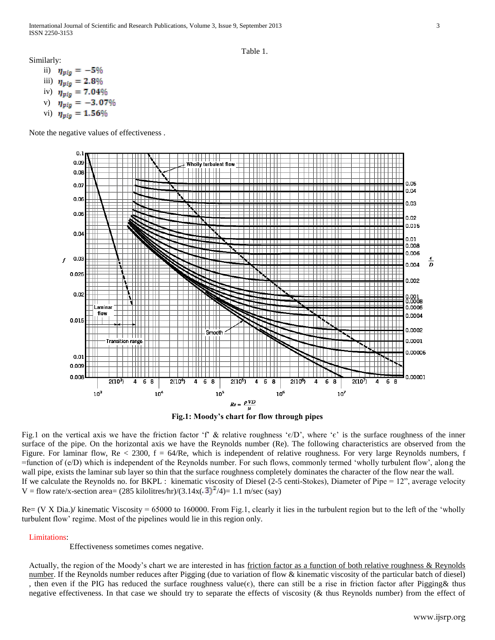#### Table 1.

Similarly:

- ii)  $\eta_{\text{pig}} = -5\%$ iii)  $\eta_{\text{pig}} = 2.8\%$ iv)  $\eta_{pig} = 7.04\%$
- v)
- vi)

Note the negative values of effectiveness .



**Fig.1: Moody's chart for flow through pipes**

Fig.1 on the vertical axis we have the friction factor 'f' & relative roughness ' $\epsilon/D$ ', where ' $\epsilon$ ' is the surface roughness of the inner surface of the pipe. On the horizontal axis we have the Reynolds number (Re). The following characteristics are observed from the Figure. For laminar flow,  $Re < 2300$ ,  $f = 64/Re$ , which is independent of relative roughness. For very large Reynolds numbers, f =function of (e/D) which is independent of the Reynolds number. For such flows, commonly termed 'wholly turbulent flow', along the wall pipe, exists the laminar sub layer so thin that the surface roughness completely dominates the character of the flow near the wall. If we calculate the Reynolds no. for BKPL : kinematic viscosity of Diesel (2-5 centi-Stokes), Diameter of Pipe = 12", average velocity V = flow rate/x-section area=  $(285 \text{ kilolitres/hr})/(3.14 \text{x}(.3)^2/4)$  = 1.1 m/sec (say)

Re= (V X Dia.)**/** kinematic Viscosity = 65000 to 160000. From Fig.1, clearly it lies in the turbulent region but to the left of the 'wholly turbulent flow' regime. Most of the pipelines would lie in this region only.

Limitations:

Effectiveness sometimes comes negative.

Actually, the region of the Moody's chart we are interested in has friction factor as a function of both relative roughness & Reynolds number. If the Reynolds number reduces after Pigging (due to variation of flow & kinematic viscosity of the particular batch of diesel) , then even if the PIG has reduced the surface roughness value( $\epsilon$ ), there can still be a rise in friction factor after Pigging& thus negative effectiveness. In that case we should try to separate the effects of viscosity (& thus Reynolds number) from the effect of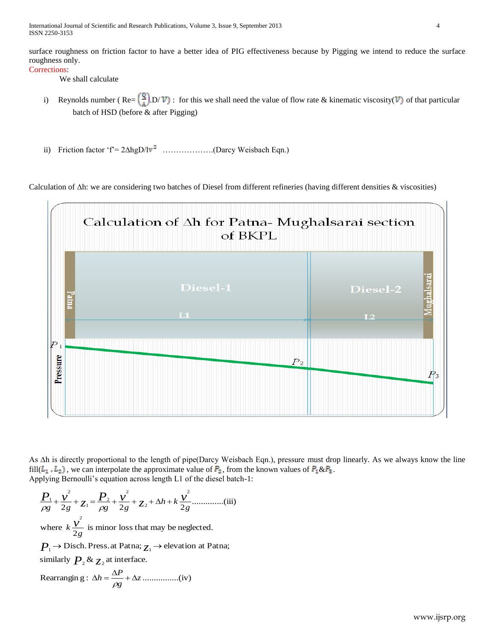International Journal of Scientific and Research Publications, Volume 3, Issue 9, September 2013 4 ISSN 2250-3153

surface roughness on friction factor to have a better idea of PIG effectiveness because by Pigging we intend to reduce the surface roughness only.

### Corrections:

We shall calculate

- i) Reynolds number (Re=  $\left(\frac{Q}{A}\right)D/\mathcal{V}$ ): for this we shall need the value of flow rate & kinematic viscosity( $\mathcal{V}$ ) of that particular batch of HSD (before & after Pigging)
- ii) Friction factor 'f' =  $2\Delta$ hgD/lv<sup>2</sup> ……………..(Darcy Weisbach Eqn.)

Calculation of ∆h: we are considering two batches of Diesel from different refineries (having different densities & viscosities)



As ∆h is directly proportional to the length of pipe(Darcy Weisbach Eqn.), pressure must drop linearly. As we always know the line fill( $L_1$ ,  $L_2$ ), we can interpolate the approximate value of  $P_2$ , from the known values of  $P_1 \& P_3$ . Applying Bernoulli's equation across length L1 of the diesel batch-1:

..............(iii) 2 2 2 2 2 2 2 2 1 2 1 *g h k g g g g v z P v z P v* 

where  $k \frac{V}{2g}$  is minor loss that may be neglected.  $k\frac{v^2}{2g}$ 

 $P_1 \rightarrow$  Disch. Press. at Patna;  $\overline{\chi}_1 \rightarrow$  elevation at Patna;

similarly  $P_2 \& z_2$  at interface.

Rearranging : 
$$
\Delta h = \frac{\Delta P}{\rho g} + \Delta z
$$
............(iv)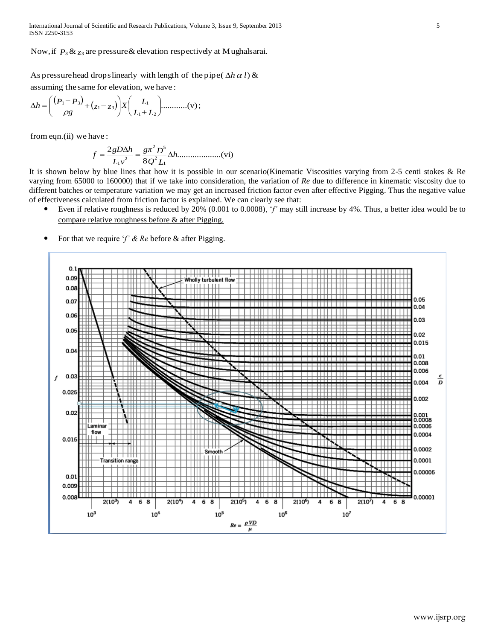International Journal of Scientific and Research Publications, Volume 3, Issue 9, September 2013 5 ISSN 2250-3153

Now, if  $P_3 \& z_3$  are pressure  $\&$  elevation respectively at Mughalsarai.

Now, if  $P_3 \& z_3$  are pressure  $\&$  elevation re<br>As pressure head drops linearly with length<br>assuming the same for elevation, we have : Now, if  $P_3 \& z_3$  are pressure  $\&$  elevation respectively at Mughalsar<br>As pressure head drops linearly with length of the pipe( $\Delta h \alpha l$ )  $\&$ <br>assuming the same for elevation, we have:  $\Delta h \alpha l$ 

$$
\Delta h = \left(\frac{(P_1 - P_3)}{\rho g} + (z_1 - z_3)\right) X \left(\frac{L_1}{L_1 + L_2}\right) \dots \dots \dots \dots (v);
$$

from eqn.(ii) we have :

....................(vi) 8 2 1 2 2 5 2 1 *h Q L gπ D L v gD h f* 

It is shown below by blue lines that how it is possible in our scenario(Kinematic Viscosities varying from 2-5 centi stokes & Re varying from 65000 to 160000) that if we take into consideration, the variation of *Re* due to difference in kinematic viscosity due to different batches or temperature variation we may get an increased friction factor even after effective Pigging. Thus the negative value of effectiveness calculated from friction factor is explained. We can clearly see that:

- Even if relative roughness is reduced by 20% (0.001 to 0.0008), '*f'* may still increase by 4%. Thus, a better idea would be to compare relative roughness before & after Pigging.
- For that we require '*f' & Re* before & after Pigging.

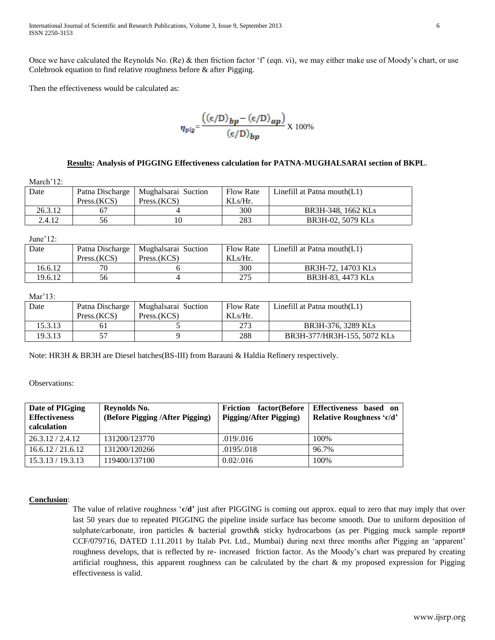Once we have calculated the Reynolds No. (Re) & then friction factor 'f' (eqn. vi), we may either make use of Moody's chart, or use Colebrook equation to find relative roughness before & after Pigging.

Then the effectiveness would be calculated as:

$$
\eta_{\text{pig}} = \frac{\left((\epsilon/D)_{\text{bp}} - (\epsilon/D)_{\text{ap}}\right)}{(\epsilon/D)_{\text{bp}}} \times 100\%
$$

### **Results: Analysis of PIGGING Effectiveness calculation for PATNA-MUGHALSARAI section of BKPL**.

| March' $12$ : |             |                                       |                  |                                |
|---------------|-------------|---------------------------------------|------------------|--------------------------------|
| Date          |             | Patna Discharge   Mughalsarai Suction | <b>Flow Rate</b> | Linefill at Patna mouth $(L1)$ |
|               | Press.(KCS) | Press.(KCS)                           | $KLs/Hr$ .       |                                |
| 26.3.12       |             |                                       | 300              | BR3H-348, 1662 KLs             |
| 2.4.12        | 56          | 10                                    | 283              | BR3H-02, 5079 KLs              |

June'12:

| Date    |             | Patna Discharge   Mughalsarai Suction | <b>Flow Rate</b> | Linefill at Patna mouth $(L1)$ |
|---------|-------------|---------------------------------------|------------------|--------------------------------|
|         | Press.(KCS) | Press.(KCS)                           | $KLs/Hr$ .       |                                |
| 16.6.12 | 70          |                                       | 300              | BR3H-72, 14703 KLs             |
| 19.6.12 | 56          |                                       | 275              | BR3H-83, 4473 KLs              |

Mar'13:

| Date    | Press.(KCS) | Patna Discharge   Mughalsarai Suction<br>Press.(KCS) | <b>Flow Rate</b><br>$KLs/Hr$ . | Linefill at Patna mouth $(L1)$ |
|---------|-------------|------------------------------------------------------|--------------------------------|--------------------------------|
| 15.3.13 |             |                                                      | 273                            | BR3H-376, 3289 KLs             |
| 19.3.13 |             |                                                      | 288                            | BR3H-377/HR3H-155, 5072 KLs    |

Note: HR3H & BR3H are Diesel batches(BS-III) from Barauni & Haldia Refinery respectively.

Observations:

| Date of PIGging<br><b>Effectiveness</b><br>calculation | Reynolds No.<br>(Before Pigging /After Pigging) | factor(Before<br><b>Friction</b><br><b>Pigging/After Pigging)</b> | Effectiveness based on<br>Relative Roughness 'c/d' |
|--------------------------------------------------------|-------------------------------------------------|-------------------------------------------------------------------|----------------------------------------------------|
| 26.3.12 / 2.4.12                                       | 131200/123770                                   | .019/.016                                                         | 100\%                                              |
| 16.6.12 / 21.6.12                                      | 131200/120266                                   | .0195/.018                                                        | 96.7%                                              |
| 15.3.13 / 19.3.13                                      | 119400/137100                                   | 0.02/0.016                                                        | 100%                                               |

### **Conclusion**:

The value of relative roughness '**є/d'** just after PIGGING is coming out approx. equal to zero that may imply that over last 50 years due to repeated PIGGING the pipeline inside surface has become smooth. Due to uniform deposition of sulphate/carbonate, iron particles & bacterial growth& sticky hydrocarbons (as per Pigging muck sample report# CCF/079716, DATED 1.11.2011 by Italab Pvt. Ltd., Mumbai) during next three months after Pigging an 'apparent' roughness develops, that is reflected by re- increased friction factor. As the Moody's chart was prepared by creating artificial roughness, this apparent roughness can be calculated by the chart  $\&$  my proposed expression for Pigging effectiveness is valid.